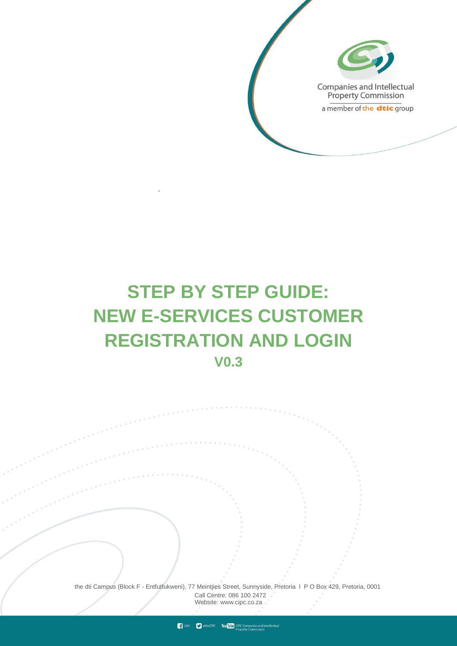

# **STEP BY STEP GUIDE: NEW E-SERVICES CUSTOMER REGISTRATION AND LOGIN V0.3**

the dti Campus (Block F - Entfutfukweni), 77 Meintjies Street, Sunnyside, Pretoria l P O Box 429, Pretoria, 0001 Call Centre: 086 100 2472 Websi[te: www.cipc.co.za](http://www.cipc.co.za/)

**CONTRACT STATE** CIPC VOUTLE CIPC Companies and inteller<br>Property Commission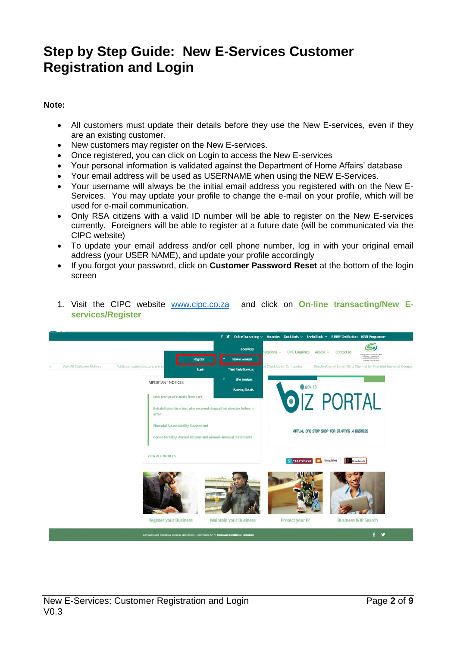## **Step by Step Guide: New E-Services Customer Registration and Login**

#### **Note:**

- All customers must update their details before they use the New E-services, even if they are an existing customer.
- New customers may register on the New E-services.
- Once registered, you can click on Login to access the New E-services
- Your personal information is validated against the Department of Home Affairs' database
- Your email address will be used as USERNAME when using the NEW E-Services.
- Your username will always be the initial email address you registered with on the New E-Services. You may update your profile to change the e-mail on your profile, which will be used for e-mail communication.
- Only RSA citizens with a valid ID number will be able to register on the New E-services currently. Foreigners will be able to register at a future date (will be communicated via the CIPC website)
- To update your email address and/or cell phone number, log in with your original email address (your USER NAME), and update your profile accordingly
- If you forgot your password, click on **Customer Password Reset** at the bottom of the login screen



1. Visit the CIPC website [www.cipc.co.za](http://www.cipc.co.za/) and click on **On-line transacting/New Eservices/Register**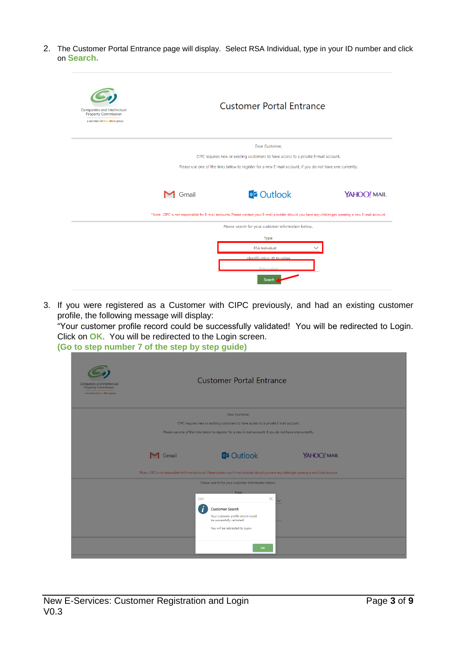2. The Customer Portal Entrance page will display. Select RSA Individual, type in your ID number and click on **Search.**

| Companies and Intellectual<br><b>Property Commission</b><br>a member of the dtic group |       | <b>Customer Portal Entrance</b>                                                                                                                      |             |
|----------------------------------------------------------------------------------------|-------|------------------------------------------------------------------------------------------------------------------------------------------------------|-------------|
|                                                                                        |       | Dear Customer,                                                                                                                                       |             |
|                                                                                        |       | CIPC requires new or existing customers to have access to a private E-mail account.                                                                  |             |
|                                                                                        |       | Please use one of the links below to register for a new E-mail account, if you do not have one currently.                                            |             |
|                                                                                        | Gmail | <b>o'z</b> Outlook                                                                                                                                   | YAHOO! MAIL |
|                                                                                        |       | *Note: CIPC is not responsible for E-mail accounts. Please contact your E-mail provider should you have any challenges opening a new E-mail account. |             |
|                                                                                        |       | Please search for your customer information below                                                                                                    |             |
|                                                                                        |       | Type:                                                                                                                                                |             |
|                                                                                        |       | <b>RSA Individual</b>                                                                                                                                |             |
|                                                                                        |       | Identification: ID Number                                                                                                                            |             |
|                                                                                        |       | Type a value                                                                                                                                         |             |
|                                                                                        |       | Search                                                                                                                                               |             |

3. If you were registered as a Customer with CIPC previously, and had an existing customer profile, the following message will display:

"Your customer profile record could be successfully validated! You will be redirected to Login. Click on **OK.** You will be redirected to the Login screen.

**(Go to step number 7 of the step by step guide)**

| Companies and Intellectual<br><b>Property Commission</b><br>a member of the dtic group | <b>Customer Portal Entrance</b>                                                                                                                                                                            |  |
|----------------------------------------------------------------------------------------|------------------------------------------------------------------------------------------------------------------------------------------------------------------------------------------------------------|--|
|                                                                                        | Dear Customer,                                                                                                                                                                                             |  |
|                                                                                        | CIPC requires new or existing customers to have access to a private E-mail account.                                                                                                                        |  |
|                                                                                        | Please use one of the links below to register for a new E-mail account, if you do not have one currently.                                                                                                  |  |
|                                                                                        | <b>DE Outlook</b><br>YAHOO! MAIL<br><b>M</b> Gmail<br>*Note: CIPC is not responsible for E-mail accounts. Please contact your E-mail provider should you have any challenges opening a new E-mail account. |  |
|                                                                                        | Please search for your customer information below                                                                                                                                                          |  |
|                                                                                        | Tyne:<br>$\times$<br>CIPC<br><b>Customer Search</b><br>Your customer profile record could<br>be successfully validated!<br>You will be redirected to Login.<br><b>OK</b>                                   |  |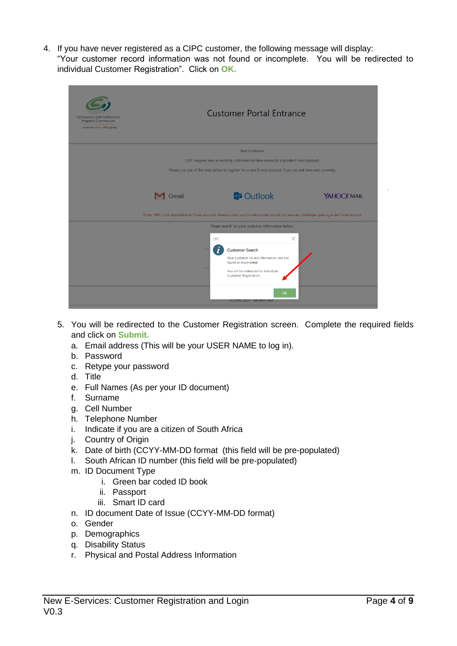4. If you have never registered as a CIPC customer, the following message will display: "Your customer record information was not found or incomplete. You will be redirected to individual Customer Registration". Click on **OK.**

| Companies and Intellectual<br><b>Property Commission</b><br>a member of the dtic group |                      | <b>Customer Portal Entrance</b>                                                                                                                                                                                                 |             |
|----------------------------------------------------------------------------------------|----------------------|---------------------------------------------------------------------------------------------------------------------------------------------------------------------------------------------------------------------------------|-------------|
|                                                                                        |                      | Dear Customer,                                                                                                                                                                                                                  |             |
|                                                                                        |                      | CIPC requires new or existing customers to have access to a private E-mail account.                                                                                                                                             |             |
|                                                                                        |                      | Please use one of the links below to register for a new E-mail account, if you do not have one currently.                                                                                                                       |             |
|                                                                                        | $\blacksquare$ Gmail | <b>DE Outlook</b><br>*Note: CIPC is not responsible for E-mail accounts. Please contact your E-mail provider should you have any challenges opening a new E-mail account.                                                       | YAHOO! MAIL |
|                                                                                        |                      | Please search for your customer information below                                                                                                                                                                               |             |
|                                                                                        |                      | $\times$<br><b>CIPC</b><br><b>Customer Search</b><br>Your customer record information was not<br>found or incomplete!<br>You will be redirected to Individual<br>Customer Registration.<br><b>OK</b><br>03 Mar 2021 04:36:07 AM |             |

- 5. You will be redirected to the Customer Registration screen. Complete the required fields and click on **Submit.**
	- a. Email address (This will be your USER NAME to log in).
	- b. Password
	- c. Retype your password
	- d. Title
	- e. Full Names (As per your ID document)
	- f. Surname
	- g. Cell Number
	- h. Telephone Number
	- i. Indicate if you are a citizen of South Africa
	- j. Country of Origin
	- k. Date of birth (CCYY-MM-DD format (this field will be pre-populated)
	- l. South African ID number (this field will be pre-populated)
	- m. ID Document Type
		- i. Green bar coded ID book
		- ii. Passport
		- iii. Smart ID card
	- n. ID document Date of Issue (CCYY-MM-DD format)
	- o. Gender
	- p. Demographics
	- q. Disability Status
	- r. Physical and Postal Address Information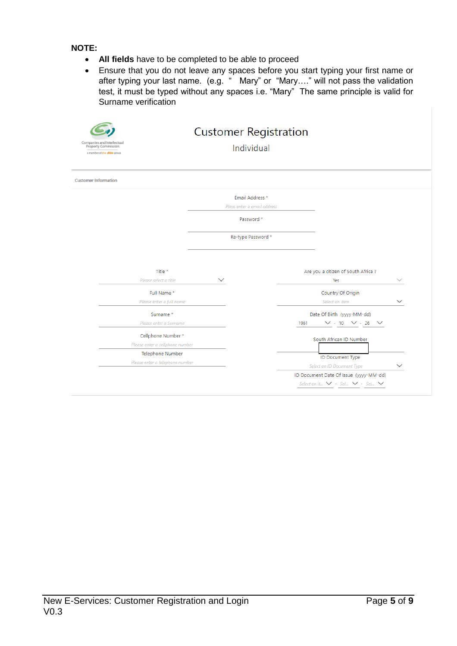**NOTE:**

- **All fields** have to be completed to be able to proceed
- Ensure that you do not leave any spaces before you start typing your first name or after typing your last name. (e.g. " Mary" or "Mary...." will not pass the validation test, it must be typed without any spaces i.e. "Mary" The same principle is valid for Surname verification

| Companies and Intellectual<br><b>Property Commission</b><br>a member of the dtic group |                                                            |              | <b>Customer Registration</b><br>Individual                   |                                                                                         |              |
|----------------------------------------------------------------------------------------|------------------------------------------------------------|--------------|--------------------------------------------------------------|-----------------------------------------------------------------------------------------|--------------|
| <b>Customer Information</b>                                                            |                                                            |              |                                                              |                                                                                         |              |
|                                                                                        |                                                            |              | Email Address *<br>Pleas enter a email address<br>Password * |                                                                                         |              |
|                                                                                        |                                                            |              | Re-type Password *                                           |                                                                                         |              |
|                                                                                        | Title *<br>Please select a title                           | $\checkmark$ |                                                              | Are you a citizen of South Africa?<br>Yes                                               |              |
|                                                                                        | Full Name*<br>Please enter a full name                     |              |                                                              | Country Of Origin<br>Select an item                                                     | $\checkmark$ |
|                                                                                        | Surname*<br>Please enter a Surname                         |              |                                                              | Date Of Birth (yyyy-MM-dd)<br>$\vee$ - 10 $\vee$ - 26 $\vee$<br>1961                    |              |
|                                                                                        | Cellphone Number*<br>Please enter a cellphone number       |              |                                                              | South African ID Number                                                                 |              |
|                                                                                        | <b>Telephone Number</b><br>Please enter a telephone number |              |                                                              | ID Document Type<br><b>Select an ID Document Type</b>                                   |              |
|                                                                                        |                                                            |              |                                                              | ID Document Date Of Issue (yyyy-MM-dd)<br>Select an it $\vee$ - Sel $\vee$ - Sel $\vee$ |              |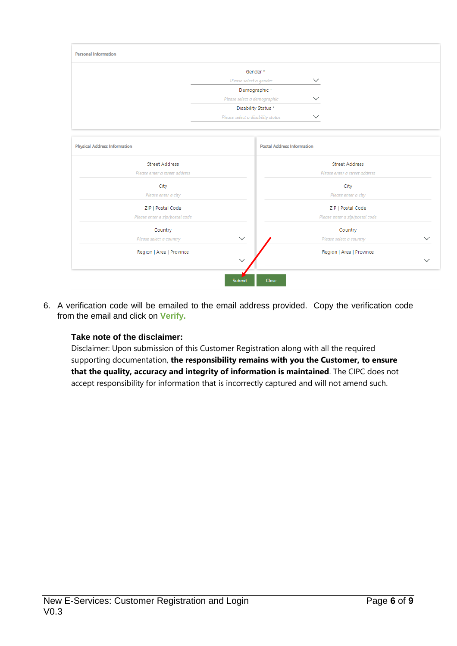

6. A verification code will be emailed to the email address provided. Copy the verification code from the email and click on **Verify.**

### **Take note of the disclaimer:**

Disclaimer: Upon submission of this Customer Registration along with all the required supporting documentation, **the responsibility remains with you the Customer, to ensure that the quality, accuracy and integrity of information is maintained**. The CIPC does not accept responsibility for information that is incorrectly captured and will not amend such.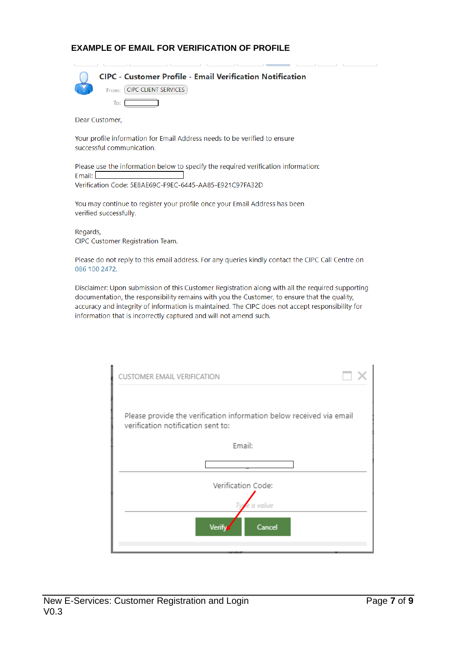#### **EXAMPLE OF EMAIL FOR VERIFICATION OF PROFILE**

#### **CIPC - Customer Profile - Email Verification Notification**

From: CIPC CLIENT SERVICES

Dear Customer,

To:  $\Box$ 

Your profile information for Email Address needs to be verified to ensure successful communication.

Please use the information below to specify the required verification information: Email:  $\Box$ Verification Code: 5E8AE69C-F9EC-6445-AA85-E921C97FA32D

You may continue to register your profile once your Email Address has been verified successfully.

Regards, CIPC Customer Registration Team.

Please do not reply to this email address. For any queries kindly contact the CIPC Call Centre on 086 100 2472.

Disclaimer: Upon submission of this Customer Registration along with all the required supporting documentation, the responsibility remains with you the Customer, to ensure that the quality, accuracy and integrity of information is maintained. The CIPC does not accept responsibility for information that is incorrectly captured and will not amend such.

| CUSTOMER EMAIL VERIFICATION                                                                                |  |
|------------------------------------------------------------------------------------------------------------|--|
| Please provide the verification information below received via email<br>verification notification sent to: |  |
| Email:                                                                                                     |  |
|                                                                                                            |  |
| Verification Code:                                                                                         |  |
| a value                                                                                                    |  |
| Cancel<br>Verifv                                                                                           |  |
|                                                                                                            |  |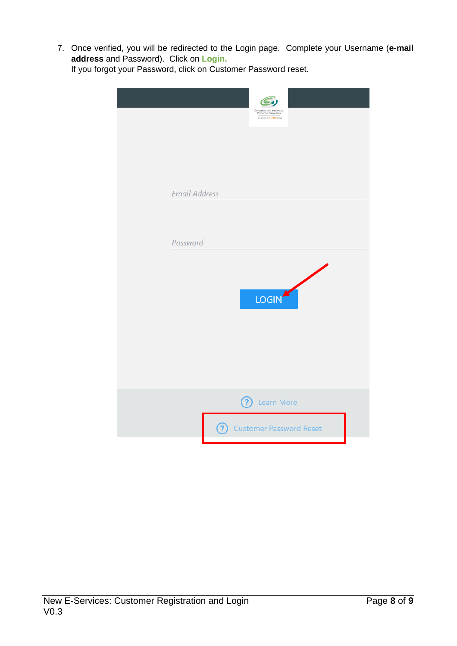7. Once verified, you will be redirected to the Login page. Complete your Username (**e-mail address** and Password). Click on **Login.** If you forgot your Password, click on Customer Password reset.

| Companies and Intellectual<br>Property Commission<br>a member of the dilitie group |
|------------------------------------------------------------------------------------|
| <b>Email Address</b>                                                               |
| Password                                                                           |
| K<br>LOGIN                                                                         |
|                                                                                    |
| <b>?</b> Learn More<br><b>?</b> Customer Password Reset                            |